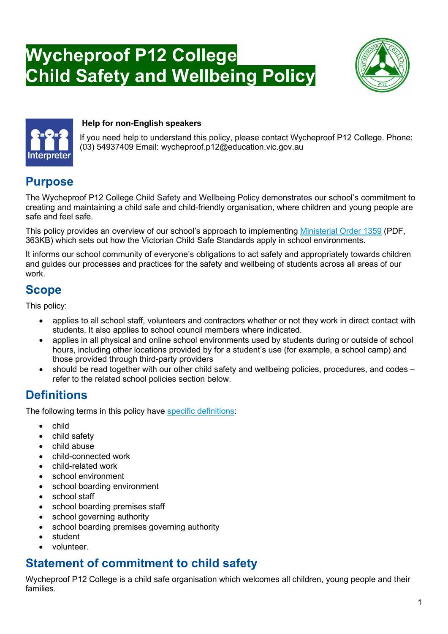# Wycheproof P12 College Child Safety and Wellbeing Policy





#### Help for non-English speakers

If you need help to understand this policy, please contact Wycheproof P12 College. Phone: (03) 54937409 Email: wycheproof.p12@education.vic.gov.au

# **Purpose**

The Wycheproof P12 College Child Safety and Wellbeing Policy demonstrates our school's commitment to creating and maintaining a child safe and child-friendly organisation, where children and young people are safe and feel safe.

This policy provides an overview of our school's approach to implementing Ministerial Order 1359 (PDF, 363KB) which sets out how the Victorian Child Safe Standards apply in school environments.

It informs our school community of everyone's obligations to act safely and appropriately towards children and guides our processes and practices for the safety and wellbeing of students across all areas of our work.

# **Scope**

This policy:

- applies to all school staff, volunteers and contractors whether or not they work in direct contact with students. It also applies to school council members where indicated.
- applies in all physical and online school environments used by students during or outside of school hours, including other locations provided by for a student's use (for example, a school camp) and those provided through third-party providers
- should be read together with our other child safety and wellbeing policies, procedures, and codes refer to the related school policies section below.

# **Definitions**

The following terms in this policy have specific definitions:

- child
- child safety
- child abuse
- child-connected work
- child-related work
- school environment
- school boarding environment
- school staff
- school boarding premises staff
- school governing authority
- school boarding premises governing authority
- student
- volunteer.

# Statement of commitment to child safety

Wycheproof P12 College is a child safe organisation which welcomes all children, young people and their families.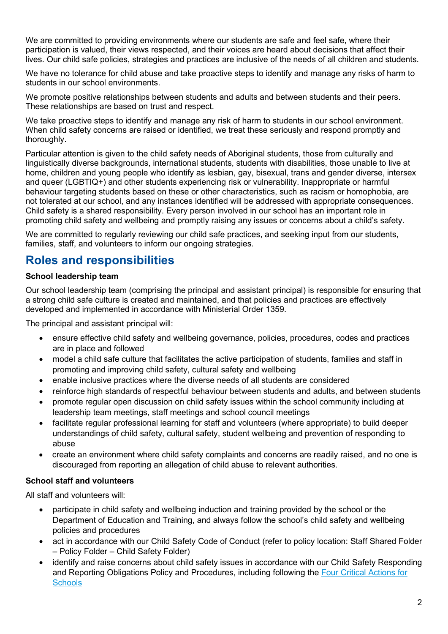We are committed to providing environments where our students are safe and feel safe, where their participation is valued, their views respected, and their voices are heard about decisions that affect their lives. Our child safe policies, strategies and practices are inclusive of the needs of all children and students.

We have no tolerance for child abuse and take proactive steps to identify and manage any risks of harm to students in our school environments.

We promote positive relationships between students and adults and between students and their peers. These relationships are based on trust and respect.

We take proactive steps to identify and manage any risk of harm to students in our school environment. When child safety concerns are raised or identified, we treat these seriously and respond promptly and thoroughly.

Particular attention is given to the child safety needs of Aboriginal students, those from culturally and linguistically diverse backgrounds, international students, students with disabilities, those unable to live at home, children and young people who identify as lesbian, gay, bisexual, trans and gender diverse, intersex and queer (LGBTIQ+) and other students experiencing risk or vulnerability. Inappropriate or harmful behaviour targeting students based on these or other characteristics, such as racism or homophobia, are not tolerated at our school, and any instances identified will be addressed with appropriate consequences. Child safety is a shared responsibility. Every person involved in our school has an important role in promoting child safety and wellbeing and promptly raising any issues or concerns about a child's safety.

We are committed to regularly reviewing our child safe practices, and seeking input from our students, families, staff, and volunteers to inform our ongoing strategies.

### Roles and responsibilities

#### School leadership team

Our school leadership team (comprising the principal and assistant principal) is responsible for ensuring that a strong child safe culture is created and maintained, and that policies and practices are effectively developed and implemented in accordance with Ministerial Order 1359.

The principal and assistant principal will:

- ensure effective child safety and wellbeing governance, policies, procedures, codes and practices are in place and followed
- model a child safe culture that facilitates the active participation of students, families and staff in promoting and improving child safety, cultural safety and wellbeing
- enable inclusive practices where the diverse needs of all students are considered
- reinforce high standards of respectful behaviour between students and adults, and between students
- promote regular open discussion on child safety issues within the school community including at leadership team meetings, staff meetings and school council meetings
- facilitate regular professional learning for staff and volunteers (where appropriate) to build deeper understandings of child safety, cultural safety, student wellbeing and prevention of responding to abuse
- create an environment where child safety complaints and concerns are readily raised, and no one is discouraged from reporting an allegation of child abuse to relevant authorities.

#### School staff and volunteers

All staff and volunteers will:

- participate in child safety and wellbeing induction and training provided by the school or the Department of Education and Training, and always follow the school's child safety and wellbeing policies and procedures
- act in accordance with our Child Safety Code of Conduct (refer to policy location: Staff Shared Folder – Policy Folder – Child Safety Folder)
- identify and raise concerns about child safety issues in accordance with our Child Safety Responding and Reporting Obligations Policy and Procedures, including following the Four Critical Actions for **Schools**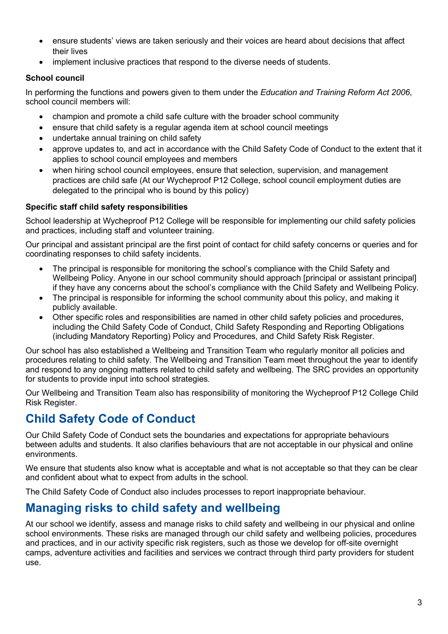- ensure students' views are taken seriously and their voices are heard about decisions that affect their lives
- implement inclusive practices that respond to the diverse needs of students.

#### School council

In performing the functions and powers given to them under the Education and Training Reform Act 2006, school council members will:

- champion and promote a child safe culture with the broader school community
- ensure that child safety is a regular agenda item at school council meetings
- undertake annual training on child safety
- approve updates to, and act in accordance with the Child Safety Code of Conduct to the extent that it applies to school council employees and members
- when hiring school council employees, ensure that selection, supervision, and management practices are child safe (At our Wycheproof P12 College, school council employment duties are delegated to the principal who is bound by this policy)

#### Specific staff child safety responsibilities

School leadership at Wycheproof P12 College will be responsible for implementing our child safety policies and practices, including staff and volunteer training.

Our principal and assistant principal are the first point of contact for child safety concerns or queries and for coordinating responses to child safety incidents.

- The principal is responsible for monitoring the school's compliance with the Child Safety and Wellbeing Policy. Anyone in our school community should approach [principal or assistant principal] if they have any concerns about the school's compliance with the Child Safety and Wellbeing Policy.
- The principal is responsible for informing the school community about this policy, and making it publicly available.
- Other specific roles and responsibilities are named in other child safety policies and procedures, including the Child Safety Code of Conduct, Child Safety Responding and Reporting Obligations (including Mandatory Reporting) Policy and Procedures, and Child Safety Risk Register.

Our school has also established a Wellbeing and Transition Team who regularly monitor all policies and procedures relating to child safety. The Wellbeing and Transition Team meet throughout the year to identify and respond to any ongoing matters related to child safety and wellbeing. The SRC provides an opportunity for students to provide input into school strategies.

Our Wellbeing and Transition Team also has responsibility of monitoring the Wycheproof P12 College Child Risk Register.

# Child Safety Code of Conduct

Our Child Safety Code of Conduct sets the boundaries and expectations for appropriate behaviours between adults and students. It also clarifies behaviours that are not acceptable in our physical and online environments.

We ensure that students also know what is acceptable and what is not acceptable so that they can be clear and confident about what to expect from adults in the school.

The Child Safety Code of Conduct also includes processes to report inappropriate behaviour.

# Managing risks to child safety and wellbeing

At our school we identify, assess and manage risks to child safety and wellbeing in our physical and online school environments. These risks are managed through our child safety and wellbeing policies, procedures and practices, and in our activity specific risk registers, such as those we develop for off-site overnight camps, adventure activities and facilities and services we contract through third party providers for student use.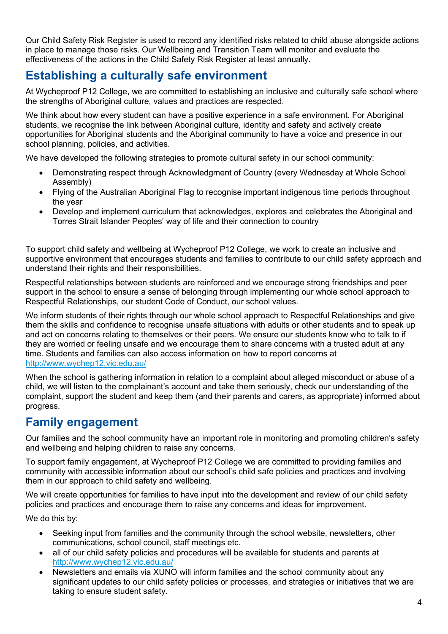Our Child Safety Risk Register is used to record any identified risks related to child abuse alongside actions in place to manage those risks. Our Wellbeing and Transition Team will monitor and evaluate the effectiveness of the actions in the Child Safety Risk Register at least annually.

# Establishing a culturally safe environment

At Wycheproof P12 College, we are committed to establishing an inclusive and culturally safe school where the strengths of Aboriginal culture, values and practices are respected.

We think about how every student can have a positive experience in a safe environment. For Aboriginal students, we recognise the link between Aboriginal culture, identity and safety and actively create opportunities for Aboriginal students and the Aboriginal community to have a voice and presence in our school planning, policies, and activities.

We have developed the following strategies to promote cultural safety in our school community:

- Demonstrating respect through Acknowledgment of Country (every Wednesday at Whole School Assembly)
- Flying of the Australian Aboriginal Flag to recognise important indigenous time periods throughout the year
- Develop and implement curriculum that acknowledges, explores and celebrates the Aboriginal and Torres Strait Islander Peoples' way of life and their connection to country

To support child safety and wellbeing at Wycheproof P12 College, we work to create an inclusive and supportive environment that encourages students and families to contribute to our child safety approach and understand their rights and their responsibilities.

Respectful relationships between students are reinforced and we encourage strong friendships and peer support in the school to ensure a sense of belonging through implementing our whole school approach to Respectful Relationships, our student Code of Conduct, our school values.

We inform students of their rights through our whole school approach to Respectful Relationships and give them the skills and confidence to recognise unsafe situations with adults or other students and to speak up and act on concerns relating to themselves or their peers. We ensure our students know who to talk to if they are worried or feeling unsafe and we encourage them to share concerns with a trusted adult at any time. Students and families can also access information on how to report concerns at http://www.wychep12.vic.edu.au/

When the school is gathering information in relation to a complaint about alleged misconduct or abuse of a child, we will listen to the complainant's account and take them seriously, check our understanding of the complaint, support the student and keep them (and their parents and carers, as appropriate) informed about progress.

### Family engagement

Our families and the school community have an important role in monitoring and promoting children's safety and wellbeing and helping children to raise any concerns.

To support family engagement, at Wycheproof P12 College we are committed to providing families and community with accessible information about our school's child safe policies and practices and involving them in our approach to child safety and wellbeing.

We will create opportunities for families to have input into the development and review of our child safety policies and practices and encourage them to raise any concerns and ideas for improvement.

We do this by:

- Seeking input from families and the community through the school website, newsletters, other communications, school council, staff meetings etc.
- all of our child safety policies and procedures will be available for students and parents at http://www.wychep12.vic.edu.au/
- Newsletters and emails via XUNO will inform families and the school community about any significant updates to our child safety policies or processes, and strategies or initiatives that we are taking to ensure student safety.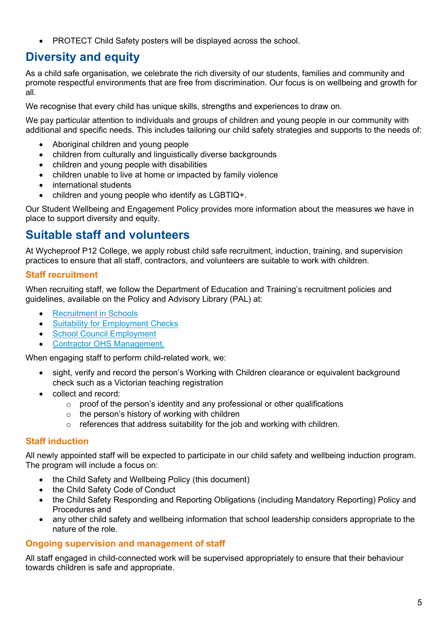• PROTECT Child Safety posters will be displayed across the school.

# Diversity and equity

As a child safe organisation, we celebrate the rich diversity of our students, families and community and promote respectful environments that are free from discrimination. Our focus is on wellbeing and growth for all.

We recognise that every child has unique skills, strengths and experiences to draw on.

We pay particular attention to individuals and groups of children and young people in our community with additional and specific needs. This includes tailoring our child safety strategies and supports to the needs of:

- Aboriginal children and young people
- children from culturally and linguistically diverse backgrounds
- children and young people with disabilities
- children unable to live at home or impacted by family violence
- international students
- children and young people who identify as LGBTIQ+.

Our Student Wellbeing and Engagement Policy provides more information about the measures we have in place to support diversity and equity.

### Suitable staff and volunteers

At Wycheproof P12 College, we apply robust child safe recruitment, induction, training, and supervision practices to ensure that all staff, contractors, and volunteers are suitable to work with children.

#### Staff recruitment

When recruiting staff, we follow the Department of Education and Training's recruitment policies and guidelines, available on the Policy and Advisory Library (PAL) at:

- Recruitment in Schools
- Suitability for Employment Checks
- School Council Employment
- Contractor OHS Management.

When engaging staff to perform child-related work, we:

- sight, verify and record the person's Working with Children clearance or equivalent background check such as a Victorian teaching registration
- collect and record:
	- o proof of the person's identity and any professional or other qualifications
	- $\circ$  the person's history of working with children
	- o references that address suitability for the job and working with children.

#### Staff induction

All newly appointed staff will be expected to participate in our child safety and wellbeing induction program. The program will include a focus on:

- the Child Safety and Wellbeing Policy (this document)
- the Child Safety Code of Conduct
- the Child Safety Responding and Reporting Obligations (including Mandatory Reporting) Policy and Procedures and
- any other child safety and wellbeing information that school leadership considers appropriate to the nature of the role.

#### Ongoing supervision and management of staff

All staff engaged in child-connected work will be supervised appropriately to ensure that their behaviour towards children is safe and appropriate.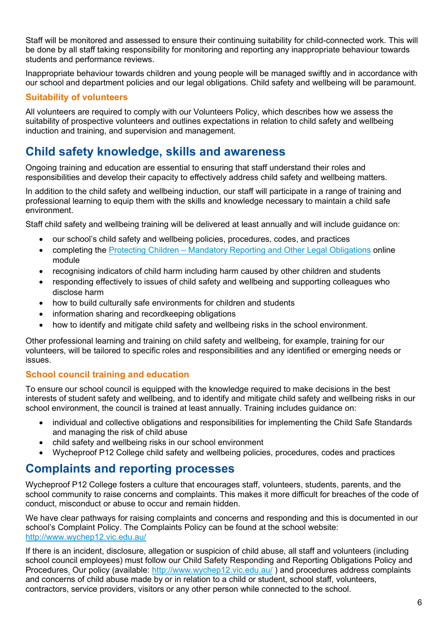Staff will be monitored and assessed to ensure their continuing suitability for child-connected work. This will be done by all staff taking responsibility for monitoring and reporting any inappropriate behaviour towards students and performance reviews.

Inappropriate behaviour towards children and young people will be managed swiftly and in accordance with our school and department policies and our legal obligations. Child safety and wellbeing will be paramount.

#### Suitability of volunteers

All volunteers are required to comply with our Volunteers Policy, which describes how we assess the suitability of prospective volunteers and outlines expectations in relation to child safety and wellbeing induction and training, and supervision and management.

### Child safety knowledge, skills and awareness

Ongoing training and education are essential to ensuring that staff understand their roles and responsibilities and develop their capacity to effectively address child safety and wellbeing matters.

In addition to the child safety and wellbeing induction, our staff will participate in a range of training and professional learning to equip them with the skills and knowledge necessary to maintain a child safe environment.

Staff child safety and wellbeing training will be delivered at least annually and will include guidance on:

- our school's child safety and wellbeing policies, procedures, codes, and practices
- completing the Protecting Children Mandatory Reporting and Other Legal Obligations online module
- recognising indicators of child harm including harm caused by other children and students
- responding effectively to issues of child safety and wellbeing and supporting colleagues who disclose harm
- how to build culturally safe environments for children and students
- information sharing and recordkeeping obligations
- how to identify and mitigate child safety and wellbeing risks in the school environment.

Other professional learning and training on child safety and wellbeing, for example, training for our volunteers, will be tailored to specific roles and responsibilities and any identified or emerging needs or issues.

#### School council training and education

To ensure our school council is equipped with the knowledge required to make decisions in the best interests of student safety and wellbeing, and to identify and mitigate child safety and wellbeing risks in our school environment, the council is trained at least annually. Training includes guidance on:

- individual and collective obligations and responsibilities for implementing the Child Safe Standards and managing the risk of child abuse
- child safety and wellbeing risks in our school environment
- Wycheproof P12 College child safety and wellbeing policies, procedures, codes and practices

### Complaints and reporting processes

Wycheproof P12 College fosters a culture that encourages staff, volunteers, students, parents, and the school community to raise concerns and complaints. This makes it more difficult for breaches of the code of conduct, misconduct or abuse to occur and remain hidden.

We have clear pathways for raising complaints and concerns and responding and this is documented in our school's Complaint Policy. The Complaints Policy can be found at the school website: http://www.wychep12.vic.edu.au/

If there is an incident, disclosure, allegation or suspicion of child abuse, all staff and volunteers (including school council employees) must follow our Child Safety Responding and Reporting Obligations Policy and Procedures. Our policy (available: http://www.wychep12.vic.edu.au/ ) and procedures address complaints and concerns of child abuse made by or in relation to a child or student, school staff, volunteers, contractors, service providers, visitors or any other person while connected to the school.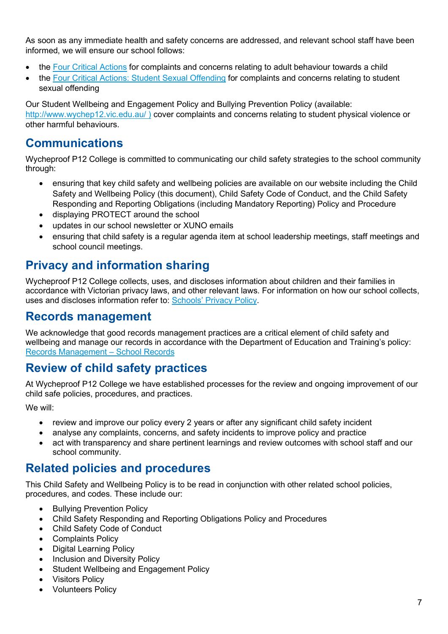As soon as any immediate health and safety concerns are addressed, and relevant school staff have been informed, we will ensure our school follows:

- the Four Critical Actions for complaints and concerns relating to adult behaviour towards a child
- the Four Critical Actions: Student Sexual Offending for complaints and concerns relating to student sexual offending

Our Student Wellbeing and Engagement Policy and Bullying Prevention Policy (available: http://www.wychep12.vic.edu.au/ ) cover complaints and concerns relating to student physical violence or other harmful behaviours.

### Communications

Wycheproof P12 College is committed to communicating our child safety strategies to the school community through:

- ensuring that key child safety and wellbeing policies are available on our website including the Child Safety and Wellbeing Policy (this document), Child Safety Code of Conduct, and the Child Safety Responding and Reporting Obligations (including Mandatory Reporting) Policy and Procedure
- displaying PROTECT around the school
- updates in our school newsletter or XUNO emails
- ensuring that child safety is a regular agenda item at school leadership meetings, staff meetings and school council meetings.

### Privacy and information sharing

Wycheproof P12 College collects, uses, and discloses information about children and their families in accordance with Victorian privacy laws, and other relevant laws. For information on how our school collects, uses and discloses information refer to: Schools' Privacy Policy.

### Records management

We acknowledge that good records management practices are a critical element of child safety and wellbeing and manage our records in accordance with the Department of Education and Training's policy: Records Management – School Records

### Review of child safety practices

At Wycheproof P12 College we have established processes for the review and ongoing improvement of our child safe policies, procedures, and practices.

We will:

- review and improve our policy every 2 years or after any significant child safety incident
- analyse any complaints, concerns, and safety incidents to improve policy and practice
- act with transparency and share pertinent learnings and review outcomes with school staff and our school community.

### Related policies and procedures

This Child Safety and Wellbeing Policy is to be read in conjunction with other related school policies, procedures, and codes. These include our:

- Bullying Prevention Policy
- Child Safety Responding and Reporting Obligations Policy and Procedures
- Child Safety Code of Conduct
- Complaints Policy
- Digital Learning Policy
- Inclusion and Diversity Policy
- Student Wellbeing and Engagement Policy
- Visitors Policy
- Volunteers Policy